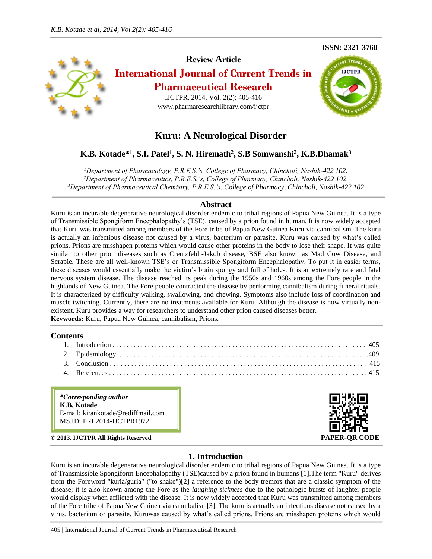

# **Kuru: A Neurological Disorder**

# **K.B. Kotade\*<sup>1</sup> , S.I. Patel<sup>1</sup> , S. N. Hiremath<sup>2</sup> , S.B Somwanshi<sup>2</sup> , K.B.Dhamak<sup>3</sup>**

*<sup>1</sup>Department of Pharmacology, P.R.E.S.'s, College of Pharmacy, Chincholi, Nashik-422 102. <sup>2</sup>Department of Pharmaceutics, P.R.E.S.'s, College of Pharmacy, Chincholi, Nashik-422 102. <sup>3</sup>Department of Pharmaceutical Chemistry, P.R.E.S.'s, College of Pharmacy, Chincholi, Nashik-422 102*

# **Abstract**

Kuru is an incurable degenerative neurological disorder endemic to tribal regions of [Papua New Guinea.](http://en.wikipedia.org/wiki/Papua_New_Guinea) It is a type of Transmissible Spongiform Encephalopathy's (TSE), caused by a [prion](http://en.wikipedia.org/wiki/Prion) found in human. It is now widely accepted that Kuru was transmitted among members of the [Fore tribe](http://en.wikipedia.org/wiki/Fore_people) of [Papua New Guinea](http://en.wikipedia.org/wiki/Papua_New_Guinea) Kuru via cannibalism. The kuru is actually an infectious disease not caused by a virus, bacterium or parasite. [Kuru](javascript:void(0);) was caused by what's called prions. Prions are misshapen proteins which would cause other proteins in the body to lose their shape. It was quite similar to other prion diseases such as Creutzfeldt-Jakob disease, BSE also known as Mad Cow Disease, and Scrapie. These are all well-known TSE's or Transmissible Spongiform Encephalopathy. To put it in easier terms, these diseases would essentially make the victim's brain spongy and full of holes. It is an extremely rare and fatal nervous system disease. The disease reached its peak during the 1950s and 1960s among the Fore people in the highlands of New Guinea. The Fore people contracted the disease by performing cannibalism during funeral rituals. It is characterized by difficulty walking, swallowing, and chewing. Symptoms also include loss of coordination and muscle twitching. Currently, there are no treatments available for Kuru. Although the disease is now virtually nonexistent, Kuru provides a way for researchers to understand other prion caused diseases better. **Keywords:** Kuru[, Papua New Guinea,](http://en.wikipedia.org/wiki/Papua_New_Guinea) cannibalism, Prions.

# **Contents**

*\*Corresponding author* **K.B. Kotade** E-mail: kirankotade@rediffmail.com MS.ID: PRL2014-IJCTPR1972



**© 2013, IJCTPR All Rights Reserved PAPER-QR CODE**

# **1. Introduction**

Kuru is an incurable degenerative neurological disorder endemic to tribal regions of [Papua New Guinea.](http://en.wikipedia.org/wiki/Papua_New_Guinea) It is a type of Transmissible Spongiform Encephalopathy (TSE)caused by a [prion](http://en.wikipedia.org/wiki/Prion) found in humans [1].The term "Kuru" derives from the [Forew](http://en.wikipedia.org/wiki/Fore_people)ord "kuria/guria" ("to shake")[2] a reference to the body tremors that are a classic symptom of the disease; it is also known among the Fore as the *laughing sickness* due to the pathologic bursts of laughter people would display when afflicted with the disease. It is now widely accepted that Kuru was transmitted among members of th[e Fore tribe](http://en.wikipedia.org/wiki/Fore_people) of Papua New Guinea via cannibalism[3]. The kuru is actually an infectious disease not caused by a virus, bacterium or parasite. [Kuruw](javascript:void(0);)as caused by what's called prions. Prions are misshapen proteins which would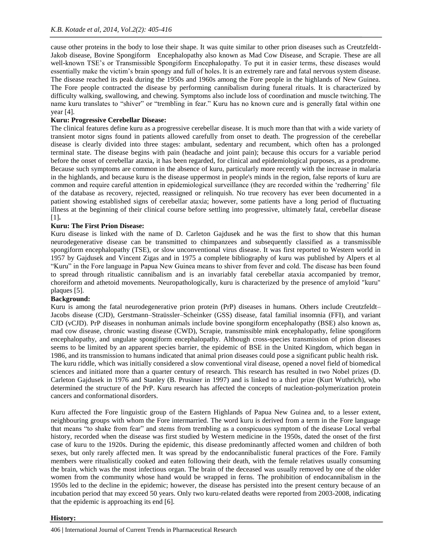cause other proteins in the body to lose their shape. It was quite similar to other prion diseases such as Creutzfeldt-Jakob disease, Bovine Spongiform Encephalopathy also known as Mad Cow Disease, and Scrapie. These are all well-known TSE's or Transmissible Spongiform Encephalopathy. To put it in easier terms, these diseases would essentially make the victim's brain spongy and full of holes. It is an extremely rare and fatal nervous system disease. The disease reached its peak during the 1950s and 1960s among the Fore people in the highlands of New Guinea. The Fore people contracted the disease by performing cannibalism during funeral rituals. It is characterized by difficulty walking, swallowing, and chewing. Symptoms also include loss of coordination and muscle twitching. The name kuru translates to "shiver" or "trembling in fear." Kuru has no known cure and is generally fatal within one year [4].

# **Kuru: Progressive Cerebellar Disease:**

The clinical features define kuru as a progressive cerebellar disease. It is much more than that with a wide variety of transient motor signs found in patients allowed carefully from onset to death. The progression of the cerebellar disease is clearly divided into three stages: ambulant, sedentary and recumbent, which often has a prolonged terminal state. The disease begins with pain (headache and joint pain); because this occurs for a variable period before the onset of cerebellar ataxia, it has been regarded, for clinical and epidemiological purposes, as a prodrome. Because such symptoms are common in the absence of kuru, particularly more recently with the increase in malaria in the highlands, and because kuru is the disease uppermost in people's minds in the region, false reports of kuru are common and require careful attention in epidemiological surveillance (they are recorded within the 'redherring' file of the database as recovery, rejected, reassigned or relinquish. No true recovery has ever been documented in a patient showing established signs of cerebellar ataxia; however, some patients have a long period of fluctuating illness at the beginning of their clinical course before settling into progressive, ultimately fatal, cerebellar disease [1]**.**

# **Kuru: The First Prion Disease:**

Kuru disease is linked with the name of D. Carleton Gajdusek and he was the first to show that this human neurodegenerative disease can be transmitted to chimpanzees and subsequently classified as a transmissible spongiform encephalopathy (TSE), or slow unconventional virus disease. It was first reported to Western world in 1957 by Gajdusek and Vincent Zigas and in 1975 a complete bibliography of kuru was published by Alpers et al "Kuru" in the Fore language in Papua New Guinea means to shiver from fever and cold. The disease has been found to spread through ritualistic cannibalism and is an invariably fatal cerebellar ataxia accompanied by tremor, choreiform and athetoid movements. Neuropathologically, kuru is characterized by the presence of amyloid "kuru" plaques [5].

# **Background:**

Kuru is among the fatal neurodegenerative prion protein (PrP) diseases in humans. Others include Creutzfeldt– Jacobs disease (CJD), Gerstmann–Straüssler–Scheinker (GSS) disease, fatal familial insomnia (FFI), and variant CJD (vCJD). PrP diseases in nonhuman animals include bovine spongiform encephalopathy (BSE) also known as, mad cow disease, chronic wasting disease (CWD), Scrapie, transmissible mink encephalopathy, feline spongiform encephalopathy, and ungulate spongiform encephalopathy. Although cross-species transmission of prion diseases seems to be limited by an apparent species barrier, the epidemic of BSE in the United Kingdom, which began in 1986, and its transmission to humans indicated that animal prion diseases could pose a significant public health risk. The kuru riddle, which was initially considered a slow conventional viral disease, opened a novel field of biomedical sciences and initiated more than a quarter century of research. This research has resulted in two Nobel prizes (D. Carleton Gajdusek in 1976 and Stanley (B. Prusiner in 1997) and is linked to a third prize (Kurt Wuthrich), who determined the structure of the PrP. Kuru research has affected the concepts of nucleation-polymerization protein cancers and conformational disorders.

Kuru affected the Fore linguistic group of the Eastern Highlands of Papua New Guinea and, to a lesser extent, neighbouring groups with whom the Fore intermarried. The word kuru is derived from a term in the Fore language that means "to shake from fear" and stems from trembling as a conspicuous symptom of the disease Local verbal history, recorded when the disease was first studied by Western medicine in the 1950s, dated the onset of the first case of kuru to the 1920s. During the epidemic, this disease predominantly affected women and children of both sexes, but only rarely affected men. It was spread by the endocannibalistic funeral practices of the Fore. Family members were ritualistically cooked and eaten following their death, with the female relatives usually consuming the brain, which was the most infectious organ. The brain of the deceased was usually removed by one of the older women from the community whose hand would be wrapped in ferns. The prohibition of endocannibalism in the 1950s led to the decline in the epidemic; however, the disease has persisted into the present century because of an incubation period that may exceed 50 years. Only two kuru-related deaths were reported from 2003-2008, indicating that the epidemic is approaching its end [6].

#### **History:**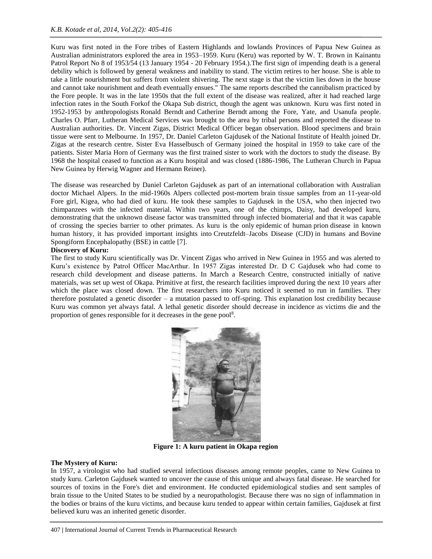Kuru was first noted in the Fore tribes of Eastern Highlands and lowlands Provinces of Papua New Guinea as Australian administrators explored the area in 1953–1959. Kuru (Keru) was reported by W. T. Brown in Kainantu Patrol Report No 8 of 1953/54 (13 January 1954 - 20 February 1954.).The first sign of impending death is a general debility which is followed by general weakness and inability to stand. The victim retires to her house. She is able to take a little nourishment but suffers from violent shivering. The next stage is that the victim lies down in the house and cannot take nourishment and death eventually ensues." The same reports described the cannibalism practiced by the Fore people. It was in the late 1950s that the full extent of the disease was realized, after it had reached large infection rates in the South Forkof the Okapa Sub district, though the agent was unknown. Kuru was first noted in 1952-1953 by anthropologists Ronald Berndt and Catherine Berndt among the Fore, Yate, and Usanufa people. Charles O. Pfarr, Lutheran Medical Services was brought to the area by tribal persons and reported the disease to Australian authorities. Dr. Vincent Zigas, District Medical Officer began observation. Blood specimens and brain tissue were sent to Melbourne. In 1957, Dr. Daniel Carleton Gajdusek of the National Institute of Health joined Dr. Zigas at the research centre. Sister Eva Hasselbusch of Germany joined the hospital in 1959 to take care of the patients. Sister Maria Horn of Germany was the first trained sister to work with the doctors to study the disease. By 1968 the hospital ceased to function as a Kuru hospital and was closed (1886-1986, The Lutheran Church in Papua New Guinea by Herwig Wagner and Hermann Reiner).

The disease was researched by Daniel Carleton Gajdusek as part of an international collaboration with Australian doctor Michael Alpers. In the mid-1960s Alpers collected post-mortem brain tissue samples from an 11-year-old Fore girl, Kigea, who had died of kuru. He took these samples to Gajdusek in the USA, who then injected two chimpanzees with the infected material. Within two years, one of the chimps, Daisy, had developed kuru, demonstrating that the unknown disease factor was transmitted through infected biomaterial and that it was capable of crossing the species barrier to other primates. As kuru is the only epidemic of human prion disease in known human history, it has provided important insights into Creutzfeldt–Jacobs Disease (CJD) in humans and Bovine Spongiform Encephalopathy (BSE) in cattle [7].

### **Discovery of Kuru:**

The first to study Kuru scientifically was Dr. Vincent Zigas who arrived in New Guinea in 1955 and was alerted to Kuru's existence by Patrol Officer MacArthur. In 1957 Zigas interested Dr. D C Gajdusek who had come to research child development and disease patterns. In March a Research Centre, constructed initially of native materials, was set up west of Okapa. Primitive at first, the research facilities improved during the next 10 years after which the place was closed down. The first researchers into Kuru noticed it seemed to run in families. They therefore postulated a genetic disorder – a mutation passed to off-spring. This explanation lost credibility because Kuru was common yet always fatal. A lethal genetic disorder should decrease in incidence as victims die and the proportion of genes responsible for it decreases in the gene pool<sup>8</sup>.



**Figure 1: A kuru patient in Okapa region**

## **The Mystery of Kuru:**

In 1957, a virologist who had studied several infectious diseases among remote peoples, came to New Guinea to study kuru. Carleton Gajdusek wanted to uncover the cause of this unique and always fatal disease. He searched for sources of toxins in the Fore's diet and environment. He conducted epidemiological studies and sent samples of brain tissue to the United States to be studied by a neuropathologist. Because there was no sign of inflammation in the bodies or brains of the kuru victims, and because kuru tended to appear within certain families, Gajdusek at first believed kuru was an inherited genetic disorder.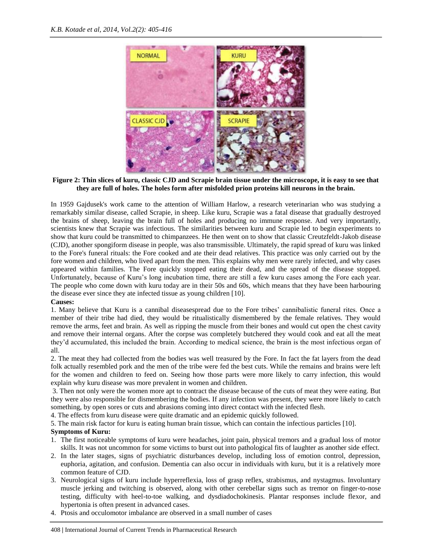

**Figure 2: Thin slices of kuru, classic CJD and Scrapie brain tissue under the microscope, it is easy to see that they are full of holes. The holes form after misfolded prion proteins kill neurons in the brain.**

In 1959 Gajdusek's work came to the attention of William Harlow, a research veterinarian who was studying a remarkably similar disease, called Scrapie, in sheep. Like kuru, Scrapie was a fatal disease that gradually destroyed the brains of sheep, leaving the brain full of holes and producing no immune response. And very importantly, scientists knew that Scrapie was infectious. The similarities between kuru and Scrapie led to begin experiments to show that kuru could be transmitted to chimpanzees. He then went on to show that classic Creutzfeldt-Jakob disease (CJD), another spongiform disease in people, was also transmissible. Ultimately, the rapid spread of kuru was linked to the Fore's funeral rituals: the Fore cooked and ate their dead relatives. This practice was only carried out by the fore women and children, who lived apart from the men. This explains why men were rarely infected, and why cases appeared within families. The Fore quickly stopped eating their dead, and the spread of the disease stopped. Unfortunately, because of Kuru's long incubation time, there are still a few kuru cases among the Fore each year. The people who come down with kuru today are in their 50s and 60s, which means that they have been harbouring the disease ever since they ate infected tissue as young children [10].

# **Causes:**

1. Many believe that [Kuru](javascript:void(0);) is a cannibal [diseases](javascript:void(0);)pread due to the Fore tribes' cannibalistic funeral rites. Once a member of their tribe had died, they would be ritualistically dismembered by the female relatives. They would remove the arms, feet and brain. As well as ripping the muscle from their bones and would cut open the chest cavity and remove their internal organs. After the corpse was completely butchered they would cook and eat all the meat they'd accumulated, this included the brain. According to medical science, the brain is the most infectious organ of all.

2. The meat they had collected from the bodies was well treasured by the Fore. In fact the fat layers from the dead folk actually resembled pork and the men of the tribe were fed the best cuts. While the remains and brains were left for the women and children to feed on. Seeing how those parts were more likely to carry infection, this would explain why kuru disease was more prevalent in women and children.

3. Then not only were the women more apt to contract the disease because of the cuts of meat they were eating. But they were also responsible for dismembering the bodies. If any infection was present, they were more likely to catch something, by open sores or cuts and abrasions coming into direct contact with the infected flesh.

4. The effects from kuru disease were quite dramatic and an epidemic quickly followed.

5. The main risk factor for kuru is eating human brain tissue, which can contain the infectious particles [10].

# **Symptoms of Kuru:**

- 1. The first noticeable symptoms of kuru were headaches, joint pain, physical tremors and a gradual loss of motor skills. It was not uncommon for some victims to burst out into pathological fits of laughter as another side effect.
- 2. In the later stages, signs of psychiatric disturbances develop, including loss of emotion control, depression, euphoria, agitation, and confusion. Dementia can also occur in individuals with kuru, but it is a relatively more common feature of CJD.
- 3. Neurological signs of kuru include hyperreflexia, loss of grasp reflex, strabismus, and nystagmus. Involuntary muscle jerking and twitching is observed, along with other cerebellar signs such as tremor on finger-to-nose testing, difficulty with heel-to-toe walking, and dysdiadochokinesis. Plantar responses include flexor, and hypertonia is often present in advanced cases.
- 4. Ptosis and occulomotor imbalance are observed in a small number of cases

#### 408 **|** International Journal of Current Trends in Pharmaceutical Research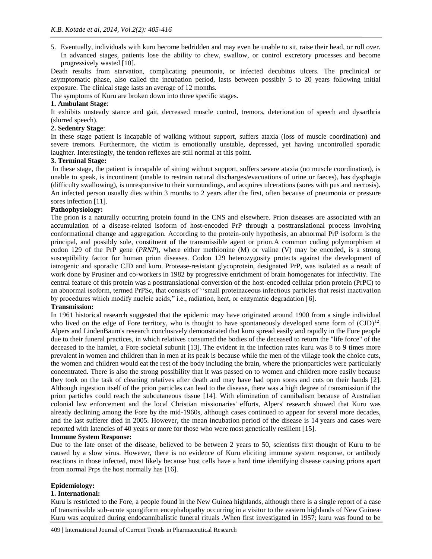5. Eventually, individuals with kuru become bedridden and may even be unable to sit, raise their head, or roll over. In advanced stages, patients lose the ability to chew, swallow, or control excretory processes and become progressively wasted [10].

Death results from starvation, complicating pneumonia, or infected decubitus ulcers. The preclinical or asymptomatic phase, also called the incubation period, lasts between possibly 5 to 20 years following initial exposure. The clinical stage lasts an average of 12 months.

The symptoms of Kuru are broken down into three specific stages.

## **1. Ambulant Stage**:

It exhibits unsteady stance and gait, decreased muscle control, tremors, deterioration of speech and dysarthria (slurred speech).

### **2. Sedentry Stage**:

In these stage patient is incapable of walking without support, suffers ataxia (loss of muscle coordination) and severe tremors. Furthermore, the victim is emotionally unstable, depressed, yet having uncontrolled sporadic laughter. Interestingly, the tendon reflexes are still normal at this point.

### **3. Terminal Stage:**

In these stage, the patient is incapable of sitting without support, suffers severe ataxia (no muscle coordination), is unable to speak, is incontinent (unable to restrain natural discharges/evacuations of urine or faeces), has dysphagia (difficulty swallowing), is unresponsive to their surroundings, and acquires ulcerations (sores with pus and necrosis). An infected person usually dies within 3 months to 2 years after the first, often because of pneumonia or pressure sores infection [11].

# **Pathophysiology:**

The prion is a naturally occurring protein found in the CNS and elsewhere. Prion diseases are associated with an accumulation of a disease-related isoform of host-encoded PrP through a posttranslational process involving conformational change and aggregation. According to the protein-only hypothesis, an abnormal PrP isoform is the principal, and possibly sole, constituent of the transmissible agent or prion.A common coding polymorphism at codon 129 of the PrP gene (*PRNP*), where either methionine (M) or valine (V) may be encoded, is a strong susceptibility factor for human prion diseases. Codon 129 heterozygosity protects against the development of iatrogenic and sporadic CJD and kuru. Protease-resistant glycoprotein, designated PrP, was isolated as a result of work done by Prusiner and co-workers in 1982 by progressive enrichment of brain homogenates for infectivity. The central feature of this protein was a posttranslational conversion of the host-encoded cellular prion protein (PrPC) to an abnormal isoform, termed PrPSc, that consists of ''small proteinaceous infectious particles that resist inactivation by procedures which modify nucleic acids," i.e., radiation, heat, or enzymatic degradation [6].

# **Transmission:**

In 1961 historical research suggested that the epidemic may have originated around 1900 from a single individual who lived on the edge of Fore territory, who is thought to have spontaneously developed some form of  $(CJD)^{12}$ . Alpers and LindenBaum's research conclusively demonstrated that kuru spread easily and rapidly in the Fore people due to their funeral practices, in which relatives consumed the bodies of the deceased to return the "life force" of the deceased to the hamlet, a Fore societal subunit [13]. The evident in the infection rates kuru was 8 to 9 times more prevalent in women and children than in men at its peak is because while the men of the village took the choice cuts, the women and children would eat the rest of the body including the brain, where the [prionp](http://en.wikipedia.org/wiki/Prion)articles were particularly concentrated. There is also the strong possibility that it was passed on to women and children more easily because they took on the task of cleaning relatives after death and may have had open sores and cuts on their hands [2]. Although ingestion itself of the prion particles can lead to the disease, there was a high degree of transmission if the prion particles could reach the subcutaneous tissue [14]. With elimination of cannibalism because of Australian colonial law enforcement and the local Christian missionaries' efforts, Alpers' research showed that Kuru was already declining among the Fore by the mid-1960s, although cases continued to appear for several more decades, and the last sufferer died in 2005. However, the mean incubation period of the disease is 14 years and cases were reported with [latencies](http://en.wikipedia.org/wiki/Clinical_latency) of 40 years or more for those who were most genetically resilient [15].

#### **Immune System Response:**

Due to the late onset of the disease, believed to be between 2 years to 50, scientists first thought of Kuru to be caused by a slow virus. However, there is no evidence of Kuru eliciting immune system response, or antibody reactions in those infected, most likely because host cells have a hard time identifying disease causing prions apart from normal Prps the host normally has [16].

#### **Epidemiology:**

#### **1. International:**

Kuru is restricted to the Fore, a people found in the New Guinea highlands, although there is a single report of a case of transmissible sub-acute spongiform encephalopathy occurring in a visitor to the eastern highlands of New Guinea. Kuru was acquired during endocannibalistic funeral rituals .When first investigated in 1957; kuru was found to be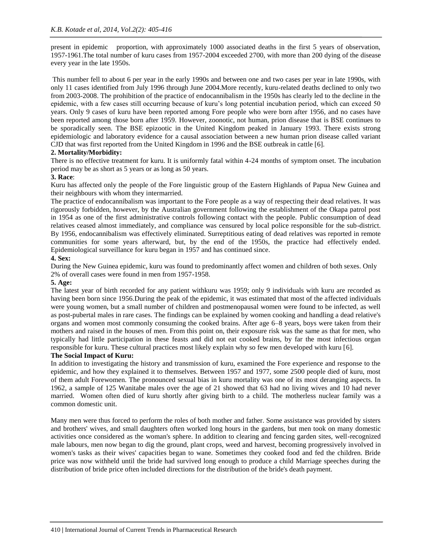present in epidemic proportion, with approximately 1000 associated deaths in the first 5 years of observation, 1957-1961.The total number of kuru cases from 1957-2004 exceeded 2700, with more than 200 dying of the disease every year in the late 1950s.

This number fell to about 6 per year in the early 1990s and between one and two cases per year in late 1990s, with only 11 cases identified from July 1996 through June 2004.More recently, kuru-related deaths declined to only two from 2003-2008. The prohibition of the practice of endocannibalism in the 1950s has clearly led to the decline in the epidemic, with a few cases still occurring because of kuru's long potential incubation period, which can exceed 50 years. Only 9 cases of kuru have been reported among Fore people who were born after 1956, and no cases have been reported among those born after 1959. However, zoonotic, not human, prion disease that is BSE continues to be sporadically seen. The BSE epizootic in the United Kingdom peaked in January 1993. There exists strong epidemiologic and laboratory evidence for a causal association between a new human prion disease called variant CJD that was first reported from the United Kingdom in 1996 and the BSE outbreak in cattle [6].

### **2. Mortality/Morbidity:**

There is no effective treatment for kuru. It is uniformly fatal within 4-24 months of symptom onset. The incubation period may be as short as 5 years or as long as 50 years.

### **3. Race**:

Kuru has affected only the people of the Fore linguistic group of the Eastern Highlands of Papua New Guinea and their neighbours with whom they intermarried.

The practice of endocannibalism was important to the Fore people as a way of respecting their dead relatives. It was rigorously forbidden, however, by the Australian government following the establishment of the Okapa patrol post in 1954 as one of the first administrative controls following contact with the people. Public consumption of dead relatives ceased almost immediately, and compliance was censured by local police responsible for the sub-district. By 1956, endocannibalism was effectively eliminated. Surreptitious eating of dead relatives was reported in remote communities for some years afterward, but, by the end of the 1950s, the practice had effectively ended. Epidemiological surveillance for kuru began in 1957 and has continued since.

# **4. Sex:**

During the New Guinea epidemic, kuru was found to predominantly affect women and children of both sexes. Only 2% of overall cases were found in men from 1957-1958.

#### **5. Age:**

The latest year of birth recorded for any patient withkuru was 1959; only 9 individuals with kuru are recorded as having been born since 1956.During the peak of the epidemic, it was estimated that most of the affected individuals were young women, but a small number of children and postmenopausal women were found to be infected, as well as post-pubertal males in rare cases. The findings can be explained by women cooking and handling a dead relative's organs and women most commonly consuming the cooked brains. After age 6–8 years, boys were taken from their mothers and raised in the houses of men. From this point on, their exposure risk was the same as that for men, who typically had little participation in these feasts and did not eat cooked brains, by far the most infectious organ responsible for kuru. These cultural practices most likely explain why so few men developed with kuru [6].

#### **The Social Impact of Kuru:**

In addition to investigating the history and transmission of kuru, examined the Fore experience and response to the epidemic, and how they explained it to themselves. Between 1957 and 1977, some 2500 people died of kuru, most of them adult Forewomen. The pronounced sexual bias in kuru mortality was one of its most deranging aspects. In 1962, a sample of 125 Wanitabe males over the age of 21 showed that 63 had no living wives and 10 had never married. Women often died of kuru shortly after giving birth to a child. The motherless nuclear family was a common domestic unit.

Many men were thus forced to perform the roles of both mother and father. Some assistance was provided by sisters and brothers' wives, and small daughters often worked long hours in the gardens, but men took on many domestic activities once considered as the woman's sphere. In addition to clearing and fencing garden sites, well-recognized male labours, men now began to dig the ground, plant crops, weed and harvest, becoming progressively involved in women's tasks as their wives' capacities began to wane. Sometimes they cooked food and fed the children. Bride price was now withheld until the bride had survived long enough to produce a child Marriage speeches during the distribution of bride price often included directions for the distribution of the bride's death payment.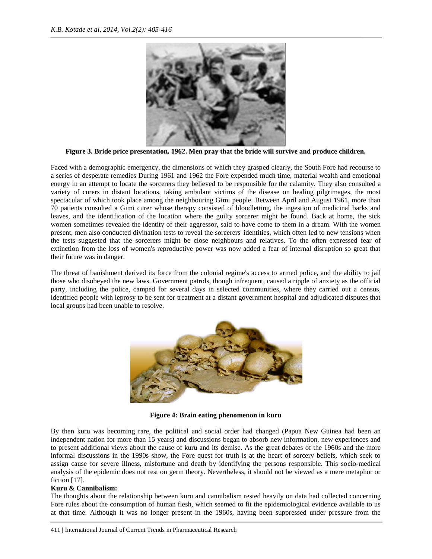

**Figure 3. Bride price presentation, 1962. Men pray that the bride will survive and produce children.**

Faced with a demographic emergency, the dimensions of which they grasped clearly, the South Fore had recourse to a series of desperate remedies During 1961 and 1962 the Fore expended much time, material wealth and emotional energy in an attempt to locate the sorcerers they believed to be responsible for the calamity. They also consulted a variety of curers in distant locations, taking ambulant victims of the disease on healing pilgrimages, the most spectacular of which took place among the neighbouring Gimi people. Between April and August 1961, more than 70 patients consulted a Gimi curer whose therapy consisted of bloodletting, the ingestion of medicinal barks and leaves, and the identification of the location where the guilty sorcerer might be found. Back at home, the sick women sometimes revealed the identity of their aggressor, said to have come to them in a dream. With the women present, men also conducted divination tests to reveal the sorcerers' identities, which often led to new tensions when the tests suggested that the sorcerers might be close neighbours and relatives. To the often expressed fear of extinction from the loss of women's reproductive power was now added a fear of internal disruption so great that their future was in danger.

The threat of banishment derived its force from the colonial regime's access to armed police, and the ability to jail those who disobeyed the new laws. Government patrols, though infrequent, caused a ripple of anxiety as the official party, including the police, camped for several days in selected communities, where they carried out a census, identified people with leprosy to be sent for treatment at a distant government hospital and adjudicated disputes that local groups had been unable to resolve.



**Figure 4: Brain eating phenomenon in kuru**

By then kuru was becoming rare, the political and social order had changed (Papua New Guinea had been an independent nation for more than 15 years) and discussions began to absorb new information, new experiences and to present additional views about the cause of kuru and its demise. As the great debates of the 1960s and the more informal discussions in the 1990s show, the Fore quest for truth is at the heart of sorcery beliefs, which seek to assign cause for severe illness, misfortune and death by identifying the persons responsible. This socio-medical analysis of the epidemic does not rest on germ theory. Nevertheless, it should not be viewed as a mere metaphor or fiction [17].

# **Kuru & Cannibalism:**

The thoughts about the relationship between kuru and cannibalism rested heavily on data had collected concerning Fore rules about the consumption of human flesh, which seemed to fit the epidemiological evidence available to us at that time. Although it was no longer present in the 1960s, having been suppressed under pressure from the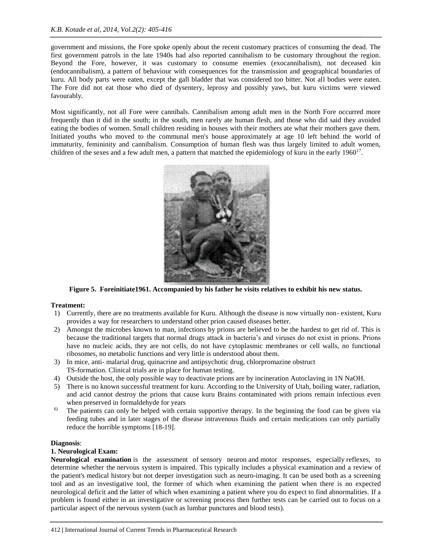government and missions, the Fore spoke openly about the recent customary practices of consuming the dead. The first government patrols in the late 1940s had also reported cannibalism to be customary throughout the region. Beyond the Fore, however, it was customary to consume enemies (exocannibalism), not deceased kin (endocannibalism), a pattern of behaviour with consequences for the transmission and geographical boundaries of kuru. All body parts were eaten, except the gall bladder that was considered too bitter. Not all bodies were eaten. The Fore did not eat those who died of dysentery, leprosy and possibly yaws, but kuru victims were viewed favourably.

Most significantly, not all Fore were cannibals. Cannibalism among adult men in the North Fore occurred more frequently than it did in the south; in the south, men rarely ate human flesh, and those who did said they avoided eating the bodies of women. Small children residing in houses with their mothers ate what their mothers gave them. Initiated youths who moved to the communal men's house approximately at age 10 left behind the world of immaturity, femininity and cannibalism. Consumption of human flesh was thus largely limited to adult women, children of the sexes and a few adult men, a pattern that matched the epidemiology of kuru in the early 1960<sup>17</sup>.



**Figure 5. Foreinitiate1961. Accompanied by his father he visits relatives to exhibit his new status.**

# **Treatment:**

- 1) Currently, there are no treatments available for Kuru. Although the disease is now virtually non- existent, Kuru provides a way for researchers to understand other prion caused diseases better.
- 2) Amongst the microbes known to man, infections by prions are believed to be the hardest to get rid of. This is because the traditional targets that normal drugs attack in bacteria's and viruses do not exist in prions. Prions have no nucleic acids, they are not cells, do not have cytoplasmic membranes or cell walls, no functional ribosomes, no metabolic functions and very little is understood about them.
- 3) In mice, anti- malarial drug, quinacrine and antipsychotic drug, chlorpromazine obstruct TS-formation. Clinical trials are in place for human testing.
- 4) Outside the host, the only possible way to deactivate prions are by incineration Autoclaving in 1N NaOH.
- 5) There is no known successful treatment for kuru. According to the University of Utah, boiling water, radiation, and acid cannot destroy the prions that cause kuru Brains contaminated with prions remain infectious even when preserved in formaldehyde for years
- <sup>6)</sup> The patients can only be helped with certain supportive therapy. In the beginning the food can be given via feeding tubes and in later stages of the disease intravenous fluids and certain medications can only partially reduce the horrible symptoms [18-19].

#### **Diagnosis**:

#### **1. Neurological Exam:**

**Neurological examination** is the assessment of [sensory neuron](http://en.wikipedia.org/wiki/Sensory_neuron) and [motor](http://en.wikipedia.org/wiki/Motor_neuron) responses, especially [reflexes,](http://en.wikipedia.org/wiki/Reflex) to determine whether the [nervous system](http://en.wikipedia.org/wiki/Nervous_system) is impaired. This typically includes a [physical examination](http://en.wikipedia.org/wiki/Physical_examination) and a review of the patient's [medical history](http://en.wikipedia.org/wiki/Medical_history) but not deeper investigation such as [neuro-imaging.](http://en.wikipedia.org/wiki/Neuroimaging) It can be used both as a screening tool and as an investigative tool, the former of which when examining the patient when there is no expected neurological deficit and the latter of which when examining a patient where you do expect to find abnormalities. If a problem is found either in an investigative or screening process then further tests can be carried out to focus on a particular aspect of the nervous system (such as [lumbar punctures](http://en.wikipedia.org/wiki/Lumbar_puncture) and [blood tests\)](http://en.wikipedia.org/wiki/Blood_test).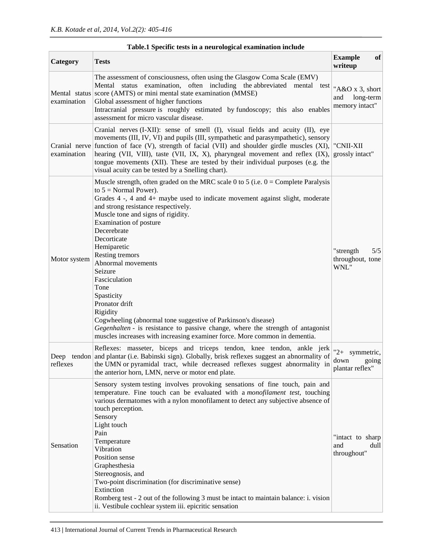| Category                     | <b>Tests</b>                                                                                                                                                                                                                                                                                                                                                                                                                                                                                                                                                                                                                                                                                                    | <b>of</b><br><b>Example</b><br>writeup                |
|------------------------------|-----------------------------------------------------------------------------------------------------------------------------------------------------------------------------------------------------------------------------------------------------------------------------------------------------------------------------------------------------------------------------------------------------------------------------------------------------------------------------------------------------------------------------------------------------------------------------------------------------------------------------------------------------------------------------------------------------------------|-------------------------------------------------------|
| Mental status<br>examination | The assessment of consciousness, often using the Glasgow Coma Scale (EMV)<br>status examination, often including the abbreviated mental test<br>Mental<br>score (AMTS) or mini mental state examination (MMSE)<br>Global assessment of higher functions<br>Intracranial pressure is roughly estimated by fundoscopy; this also enables<br>assessment for micro vascular disease.                                                                                                                                                                                                                                                                                                                                | "A&O x 3, short<br>long-term<br>and<br>memory intact" |
| examination                  | Cranial nerves (I-XII): sense of smell (I), visual fields and acuity (II), eye<br>movements (III, IV, VI) and pupils (III, sympathetic and parasympathetic), sensory<br>Cranial nerve function of face (V), strength of facial (VII) and shoulder girdle muscles (XI),<br>hearing (VII, VIII), taste (VII, IX, X), pharyngeal movement and reflex (IX),<br>tongue movements (XII). These are tested by their individual purposes (e.g. the<br>visual acuity can be tested by a Snelling chart).                                                                                                                                                                                                                 | "CNII-XII<br>grossly intact"                          |
| Motor system                 | Muscle strength, often graded on the MRC scale 0 to 5 (i.e. $0 =$ Complete Paralysis<br>to $5 =$ Normal Power).<br>Grades 4 -, 4 and 4+ maybe used to indicate movement against slight, moderate<br>and strong resistance respectively.<br>Muscle tone and signs of rigidity.<br>Examination of posture<br>Decerebrate<br>Decorticate<br>Hemiparetic<br>Resting tremors<br>Abnormal movements<br>Seizure<br>Fasciculation<br>Tone<br>Spasticity<br>Pronator drift<br>Rigidity<br>Cogwheeling (abnormal tone suggestive of Parkinson's disease)<br>Gegenhalten - is resistance to passive change, where the strength of antagonist<br>muscles increases with increasing examiner force. More common in dementia. | "strength<br>5/5<br>throughout, tone<br>WNL"          |
| reflexes                     | Reflexes: masseter, biceps and triceps tendon, knee tendon, ankle jerk<br>Deep tendon and plantar (i.e. Babinski sign). Globally, brisk reflexes suggest an abnormality of<br>the UMN or pyramidal tract, while decreased reflexes suggest abnormality in<br>the anterior horn, LMN, nerve or motor end plate.                                                                                                                                                                                                                                                                                                                                                                                                  | $"2+$ symmetric,<br>down<br>going<br>plantar reflex"  |
| Sensation                    | Sensory system testing involves provoking sensations of fine touch, pain and<br>temperature. Fine touch can be evaluated with a monofilament test, touching<br>various dermatomes with a nylon monofilament to detect any subjective absence of<br>touch perception.<br>Sensory<br>Light touch<br>Pain<br>Temperature<br>Vibration<br>Position sense<br>Graphesthesia<br>Stereognosis, and<br>Two-point discrimination (for discriminative sense)<br>Extinction<br>Romberg test - 2 out of the following 3 must be intact to maintain balance: i. vision<br>ii. Vestibule cochlear system iii. epicritic sensation                                                                                              | "intact to sharp<br>and<br>dull<br>throughout"        |

# **Table.1 Specific tests in a neurological examination include**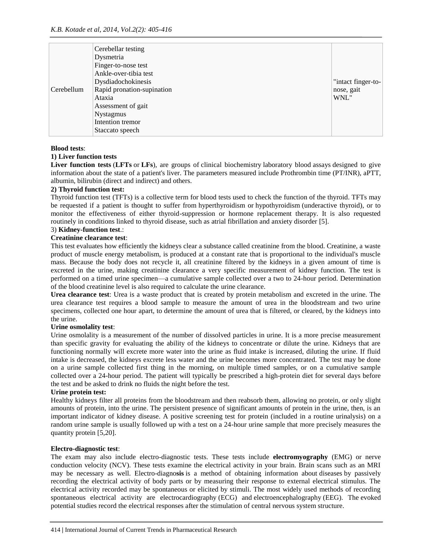|            | Cerebellar testing         |                    |
|------------|----------------------------|--------------------|
| Cerebellum | Dysmetria                  |                    |
|            | Finger-to-nose test        |                    |
|            | Ankle-over-tibia test      |                    |
|            | Dysdiadochokinesis         | "intact finger-to- |
|            | Rapid pronation-supination | nose, gait         |
|            | Ataxia                     | WNL"               |
|            | Assessment of gait         |                    |
|            | <b>Nystagmus</b>           |                    |
|            | Intention tremor           |                    |
|            | Staccato speech            |                    |

#### **Blood tests**:

#### **1) Liver function tests**

**Liver function tests** (**LFTs** or **LFs**), are groups of clinical biochemistry laboratory blood assays designed to give information about the state of a patient's liver. The parameters measured include Prothrombin time (PT/INR), aPTT, albumin, bilirubin (direct and indirect) and others.

#### **2) Thyroid function test:**

Thyroid function test (TFTs) is a collective term for blood tests used to check the function of the thyroid. TFTs may be requested if a patient is thought to suffer from hyperthyroidism or hypothyroidism (underactive thyroid), or to monitor the effectiveness of either thyroid-suppression or hormone replacement therapy. It is also requested routinely in conditions linked to thyroid disease, such as atrial fibrillation and anxiety disorder [5].

# 3) **Kidney-function test**.:

#### **Creatinine clearance test**:

This test evaluates how efficiently the kidneys clear a substance called creatinine from the blood. Creatinine, a waste product of muscle energy metabolism, is produced at a constant rate that is proportional to the individual's muscle mass. Because the body does not recycle it, all creatinine filtered by the kidneys in a given amount of time is excreted in the urine, making creatinine clearance a very specific measurement of kidney function. The test is performed on a timed urine specimen—a cumulative sample collected over a two to 24-hour period. Determination of the blood creatinine level is also required to calculate the urine clearance.

**Urea clearance test**: Urea is a waste product that is created by protein metabolism and excreted in the urine. The urea clearance test requires a blood sample to measure the amount of urea in the bloodstream and two urine specimens, collected one hour apart, to determine the amount of urea that is filtered, or cleared, by the kidneys into the urine.

# **Urine osmolality test**:

Urine osmolality is a measurement of the number of dissolved particles in urine. It is a more precise measurement than specific gravity for evaluating the ability of the kidneys to concentrate or dilute the urine. Kidneys that are functioning normally will excrete more water into the urine as fluid intake is increased, diluting the urine. If fluid intake is decreased, the kidneys excrete less water and the urine becomes more concentrated. The test may be done on a urine sample collected first thing in the morning, on multiple timed samples, or on a cumulative sample collected over a 24-hour period. The patient will typically be prescribed a high-protein diet for several days before the test and be asked to drink no fluids the night before the test.

#### **Urine protein test:**

Healthy kidneys filter all proteins from the bloodstream and then reabsorb them, allowing no protein, or only slight amounts of protein, into the urine. The persistent presence of significant amounts of protein in the urine, then, is an important indicator of kidney disease. A positive screening test for protein (included in a routine [urinalysis\)](http://www.surgeryencyclopedia.com/St-Wr/Urinalysis.html) on a random urine sample is usually followed up with a test on a 24-hour urine sample that more precisely measures the quantity protein [5,20].

# **Electro-diagnostic test**:

The exam may also include electro-diagnostic tests. These tests include **electromyography** (EMG) or nerve conduction velocity (NCV). These tests examine the electrical activity in your brain. Brain scans such as an MRI may be necessary as well. Electro-diagno**sis** is a method of obtaining information about [diseases](http://en.wikipedia.org/wiki/Disease) by passively recording the electrical activity of body parts or by measuring their response to external electrical stimulus. The electrical activity recorded may be spontaneous or elicited by stimuli. The most widely used methods of recording spontaneous electrical activity are [electrocardiography](http://en.wikipedia.org/wiki/Electrocardiography) (ECG) and [electroencephalography](http://en.wikipedia.org/wiki/Electroencephalography) (EEG). The [evoked](http://en.wikipedia.org/wiki/Evoked_potential)  [potential studies](http://en.wikipedia.org/wiki/Evoked_potential) record the electrical responses after the stimulation of central nervous system structure.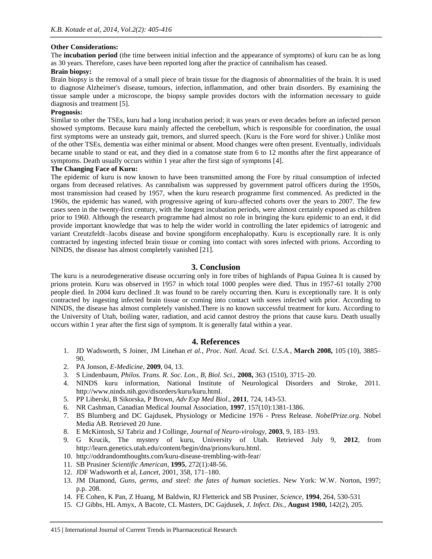# **Other Considerations:**

The **incubation period** (the time between initial infection and the appearance of symptoms) of kuru can be as long as 30 years. Therefore, cases have been reported long after the practice of cannibalism has ceased.

#### **Brain biopsy:**

Brain biopsy is the removal of a small piece of brain tissue for the diagnosis of abnormalities of the brain. It is used to diagnose Alzheimer's disease, tumours, infection, inflammation, and other brain disorders. By examining the tissue sample under a microscope, the biopsy sample provides doctors with the information necessary to guide diagnosis and treatment [5].

#### **Prognosis:**

Similar to other the TSEs, kuru had a long incubation period; it was years or even decades before an infected person showed symptoms. Because kuru mainly affected the cerebellum, which is responsible for coordination, the usual first symptoms were an unsteady gait, tremors, and slurred speech. (Kuru is the Fore word for shiver.) Unlike most of the other TSEs, dementia was either minimal or absent. Mood changes were often present. Eventually, individuals became unable to stand or eat, and they died in a comatose state from 6 to 12 months after the first appearance of symptoms. Death usually occurs within 1 year after the first sign of symptoms [4].

# **The Changing Face of Kuru:**

The epidemic of kuru is now known to have been transmitted among the Fore by ritual consumption of infected organs from deceased relatives. As cannibalism was suppressed by government patrol officers during the 1950s, most transmission had ceased by 1957, when the kuru research programme first commenced. As predicted in the 1960s, the epidemic has waned, with progressive ageing of kuru-affected cohorts over the years to 2007. The few cases seen in the twenty-first century, with the longest incubation periods, were almost certainly exposed as children prior to 1960. Although the research programme had almost no role in bringing the kuru epidemic to an end, it did provide important knowledge that was to help the wider world in controlling the later epidemics of iatrogenic and variant Creutzfeldt–Jacobs disease and bovine spongiform encephalopathy. Kuru is exceptionally rare. It is only contracted by ingesting infected brain tissue or coming into contact with sores infected with prions. According to NINDS, the disease has almost completely vanished [21].

# **3. Conclusion**

The kuru is a neurodegenerative disease occurring only in fore tribes of highlands of Papua Guinea It is caused by prions protein. Kuru was observed in 1957 in which total 1000 peoples were died. Thus in 1957-61 totally 2700 people died. In 2004 kuru declined .It was found to be rarely occurring then. Kuru is exceptionally rare. It is only contracted by ingesting infected brain tissue or coming into contact with sores infected with prior. According to NINDS, the disease has almost completely vanished.There is no known successful treatment for kuru. According to the University of Utah, boiling water, radiation, and acid cannot destroy the prions that cause kuru. Death usually occurs within 1 year after the first sign of symptom. It is generally fatal within a year.

# **4. References**

- 1. JD Wadsworth, S Joiner, JM Linehan *et al.*, *Proc. Natl. Acad. Sci. U.S.A.*, **March 2008,** 105 (10), 3885– 90.
- 2. PA Jonson, *E-Medicine,* **2009**, 04, 13.
- 3. S Lindenbaum, *Philos. Trans. R. Soc. Lon., B, Biol. Sci.,* **2008,** 363 (1510), 3715–20.
- 4. NINDS kuru information, National Institute of Neurological Disorders and Stroke, 2011. [http://www.ninds.nih.gov/disorders/kuru/kuru.html.](http://www.ninds.nih.gov/disorders/kuru/kuru.html)
- 5. P[P Liberski,](http://www.ncbi.nlm.nih.gov/pubmed?term=Liberski%20PP%5BAuthor%5D&cauthor=true&cauthor_uid=22411241) B Sikorska, P [Brown,](http://www.ncbi.nlm.nih.gov/pubmed?term=Brown%20P%5BAuthor%5D&cauthor=true&cauthor_uid=22411241) *[Adv Exp Med Biol](http://www.ncbi.nlm.nih.gov/pubmed/22411241)*., **2011**, 724, 143-53.
- 6. NR Cashman, Canadian Medical Journal Association, **1997**, 157(10):1381-1386.
- 7. [BS Blumberg and DC Gajdusek, Physiology or Medicine 1976 -](http://www.nobelprize.org/nobel_prizes/medicine/laureates/1976/press.html) Press Release. *NobelPrize.org*. Nobel Media AB. Retrieved 20 June.
- 8. E McKintosh, SJ Tabriz and J Collinge, *Journal of Neuro-virology,* **2003**, 9, 183–193.
- 9. [G Krucik,](https://plus.google.com/100880881770638098630) The mystery of kuru, University of Utah. Retrieved July 9, **2012**, from [http://learn.genetics.utah.edu/content/begin/dna/prions/kuru.html.](http://learn.genetics.utah.edu/content/begin/dna/prions/kuru.html)
- 10. <http://oddrandomthoughts.com/kuru-disease-trembling-with-fear/>
- 11. SB Prusiner *Scientific American*, **1995**, 272(1):48-56.
- 12. JDF Wadsworth et al, *Lancet*, 2001, 358, 171–180.
- 13. JM [Diamond,](http://en.wikipedia.org/wiki/Jared_Diamond) *[Guns, germs, and steel: the fates of human societies](http://en.wikipedia.org/wiki/Jared_Diamond)*. New York: W.W. Norton, 1997; p.p. 208.
- 14. FE Cohen, K Pan, Z Huang, M Baldwin, RJ Fletterick and SB Prusiner, *Science,* **1994**, 264, 530-531
- 15. CJ Gibbs, HL Amyx, A Bacote, CL Masters, DC Gajdusek, *J. Infect. Dis.,* **August 1980,** 142(2), 205.